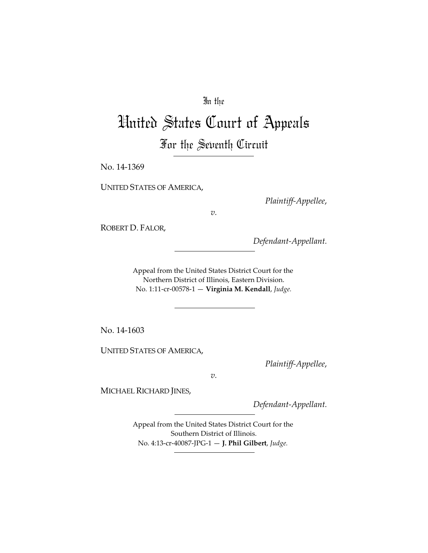# In the

# United States Court of Appeals For the Seventh Circuit

No. 14-1369

UNITED STATES OF AMERICA,

*Plaintiff-Appellee*,

*v.*

ROBERT D. FALOR,

*Defendant-Appellant.*

Appeal from the United States District Court for the Northern District of Illinois, Eastern Division. No. 1:11-cr-00578-1 — **Virginia M. Kendall**, *Judge.*

No. 14-1603

UNITED STATES OF AMERICA,

*Plaintiff-Appellee*,

*v.*

MICHAEL RICHARD JINES,

*Defendant-Appellant.*

Appeal from the United States District Court for the Southern District of Illinois. No. 4:13-cr-40087-JPG-1 — **J. Phil Gilbert**, *Judge.*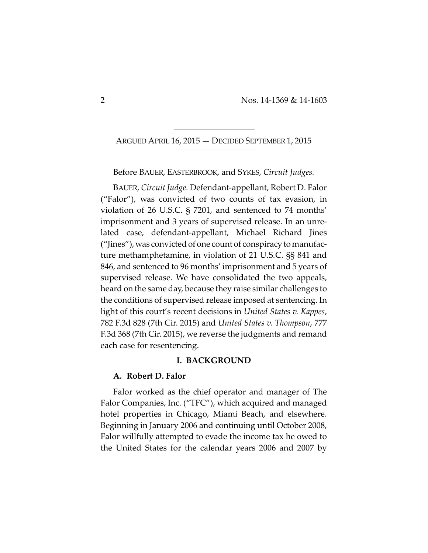ARGUED APRIL 16, 2015 — DECIDED SEPTEMBER 1, 2015

Before BAUER, EASTERBROOK, and SYKES, *Circuit Judges.*

BAUER, *Circuit Judge.* Defendant-appellant, Robert D. Falor ("Falor"), was convicted of two counts of tax evasion, in violation of 26 U.S.C. § 7201, and sentenced to 74 months' imprisonment and 3 years of supervised release. In an unrelated case, defendant-appellant, Michael Richard Jines ("Jines"), was convicted of one count of conspiracy to manufacture methamphetamine, in violation of 21 U.S.C. §§ 841 and 846, and sentenced to 96 months' imprisonment and 5 years of supervised release. We have consolidated the two appeals, heard on the same day, because they raise similar challenges to the conditions of supervised release imposed at sentencing. In light of this court's recent decisions in *United States v. Kappes*, 782 F.3d 828 (7th Cir. 2015) and *United States v. Thompson*, 777 F.3d 368 (7th Cir. 2015), we reverse the judgments and remand each case for resentencing.

## **I. BACKGROUND**

## **A. Robert D. Falor**

Falor worked as the chief operator and manager of The Falor Companies, Inc. ("TFC"), which acquired and managed hotel properties in Chicago, Miami Beach, and elsewhere. Beginning in January 2006 and continuing until October 2008, Falor willfully attempted to evade the income tax he owed to the United States for the calendar years 2006 and 2007 by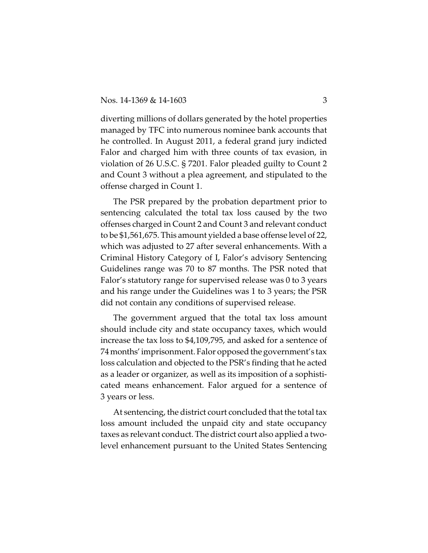diverting millions of dollars generated by the hotel properties managed by TFC into numerous nominee bank accounts that he controlled. In August 2011, a federal grand jury indicted Falor and charged him with three counts of tax evasion, in violation of 26 U.S.C. § 7201. Falor pleaded guilty to Count 2 and Count 3 without a plea agreement, and stipulated to the offense charged in Count 1.

The PSR prepared by the probation department prior to sentencing calculated the total tax loss caused by the two offenses charged in Count 2 and Count 3 and relevant conduct to be \$1,561,675. This amount yielded a base offense level of 22, which was adjusted to 27 after several enhancements. With a Criminal History Category of I, Falor's advisory Sentencing Guidelines range was 70 to 87 months. The PSR noted that Falor's statutory range for supervised release was 0 to 3 years and his range under the Guidelines was 1 to 3 years; the PSR did not contain any conditions of supervised release.

The government argued that the total tax loss amount should include city and state occupancy taxes, which would increase the tax loss to \$4,109,795, and asked for a sentence of 74 months' imprisonment. Falor opposed the government's tax loss calculation and objected to the PSR's finding that he acted as a leader or organizer, as well as its imposition of a sophisticated means enhancement. Falor argued for a sentence of 3 years or less.

At sentencing, the district court concluded that the total tax loss amount included the unpaid city and state occupancy taxes as relevant conduct. The district court also applied a twolevel enhancement pursuant to the United States Sentencing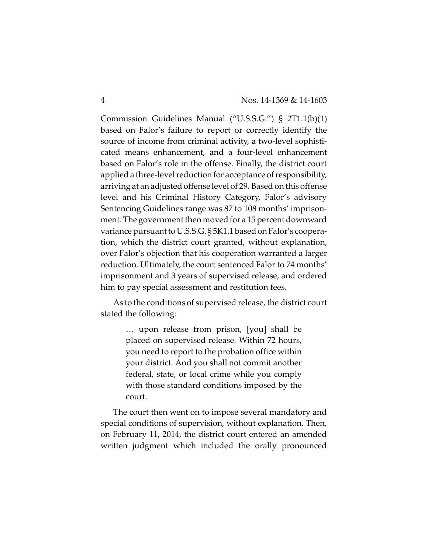Commission Guidelines Manual ("U.S.S.G.") § 2T1.1(b)(1) based on Falor's failure to report or correctly identify the source of income from criminal activity, a two-level sophisticated means enhancement, and a four-level enhancement based on Falor's role in the offense. Finally, the district court applied a three-level reduction for acceptance of responsibility, arriving at an adjusted offense level of 29. Based on this offense level and his Criminal History Category, Falor's advisory Sentencing Guidelines range was 87 to 108 months' imprisonment. The government then moved for a 15 percent downward variance pursuant to U.S.S.G. § 5K1.1 based on Falor's cooperation, which the district court granted, without explanation, over Falor's objection that his cooperation warranted a larger reduction. Ultimately, the court sentenced Falor to 74 months' imprisonment and 3 years of supervised release, and ordered him to pay special assessment and restitution fees.

As to the conditions of supervised release, the district court stated the following:

> … upon release from prison, [you] shall be placed on supervised release. Within 72 hours, you need to report to the probation office within your district. And you shall not commit another federal, state, or local crime while you comply with those standard conditions imposed by the court.

The court then went on to impose several mandatory and special conditions of supervision, without explanation. Then, on February 11, 2014, the district court entered an amended written judgment which included the orally pronounced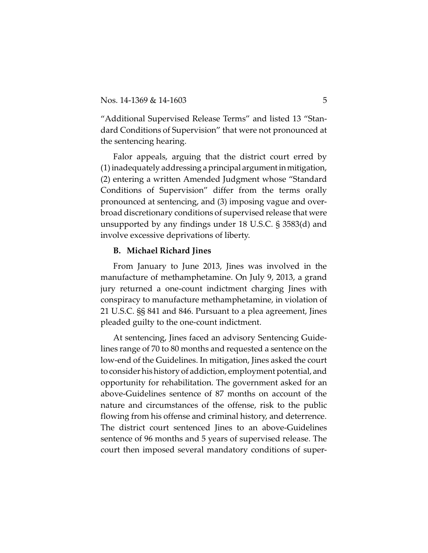"Additional Supervised Release Terms" and listed 13 "Standard Conditions of Supervision" that were not pronounced at the sentencing hearing.

Falor appeals, arguing that the district court erred by (1) inadequately addressing aprincipal argument inmitigation, (2) entering a written Amended Judgment whose "Standard Conditions of Supervision" differ from the terms orally pronounced at sentencing, and (3) imposing vague and overbroad discretionary conditions of supervised release that were unsupported by any findings under 18 U.S.C. § 3583(d) and involve excessive deprivations of liberty.

#### **B. Michael Richard Jines**

From January to June 2013, Jines was involved in the manufacture of methamphetamine. On July 9, 2013, a grand jury returned a one-count indictment charging Jines with conspiracy to manufacture methamphetamine, in violation of 21 U.S.C. §§ 841 and 846. Pursuant to a plea agreement, Jines pleaded guilty to the one-count indictment.

At sentencing, Jines faced an advisory Sentencing Guidelines range of 70 to 80 months and requested a sentence on the low-end of the Guidelines. In mitigation, Jines asked the court to consider his history of addiction, employment potential, and opportunity for rehabilitation. The government asked for an above-Guidelines sentence of 87 months on account of the nature and circumstances of the offense, risk to the public flowing from his offense and criminal history, and deterrence. The district court sentenced Jines to an above-Guidelines sentence of 96 months and 5 years of supervised release. The court then imposed several mandatory conditions of super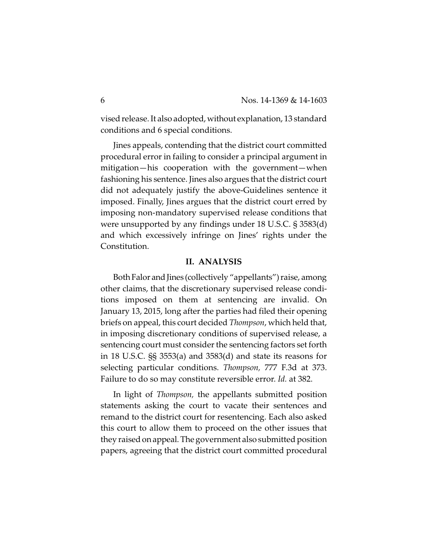vised release. It also adopted, without explanation, 13 standard conditions and 6 special conditions.

Jines appeals, contending that the district court committed procedural error in failing to consider a principal argument in mitigation—his cooperation with the government—when fashioning his sentence. Jines also argues that the district court did not adequately justify the above-Guidelines sentence it imposed. Finally, Jines argues that the district court erred by imposing non-mandatory supervised release conditions that were unsupported by any findings under 18 U.S.C. § 3583(d) and which excessively infringe on Jines' rights under the Constitution.

#### **II. ANALYSIS**

Both Falor and Jines (collectively "appellants") raise, among other claims, that the discretionary supervised release conditions imposed on them at sentencing are invalid. On January 13, 2015, long after the parties had filed their opening briefs on appeal, this court decided *Thompson*, which held that, in imposing discretionary conditions of supervised release, a sentencing court must consider the sentencing factors set forth in 18 U.S.C. §§ 3553(a) and 3583(d) and state its reasons for selecting particular conditions. *Thompson,* 777 F.3d at 373. Failure to do so may constitute reversible error. *Id.* at 382.

In light of *Thompson,* the appellants submitted position statements asking the court to vacate their sentences and remand to the district court for resentencing. Each also asked this court to allow them to proceed on the other issues that they raised onappeal. The government also submitted position papers, agreeing that the district court committed procedural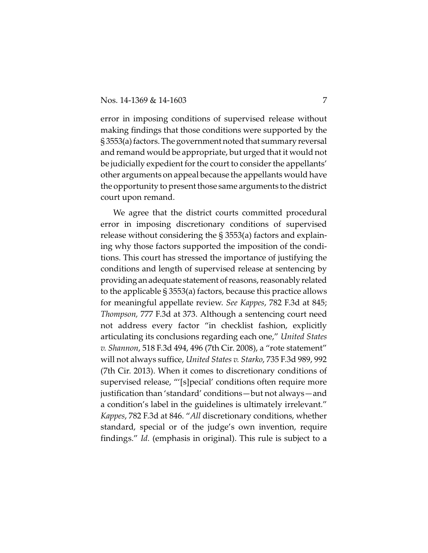error in imposing conditions of supervised release without making findings that those conditions were supported by the  $\S 3553(a)$  factors. The government noted that summary reversal and remand would be appropriate, but urged that it would not be judicially expedient for the court to consider the appellants' other arguments on appeal because the appellants would have the opportunity to present those same arguments to the district court upon remand.

We agree that the district courts committed procedural error in imposing discretionary conditions of supervised release without considering the § 3553(a) factors and explaining why those factors supported the imposition of the conditions. This court has stressed the importance of justifying the conditions and length of supervised release at sentencing by providing anadequate statement of reasons, reasonably related to the applicable § 3553(a) factors, because this practice allows for meaningful appellate review. *See Kappes*, 782 F.3d at 845; *Thompson,* 777 F.3d at 373. Although a sentencing court need not address every factor "in checklist fashion, explicitly articulating its conclusions regarding each one," *United States v. Shannon*, 518 F.3d 494, 496 (7th Cir. 2008), a "rote statement" will not always suffice, *United States v. Starko*, 735 F.3d 989, 992 (7th Cir. 2013). When it comes to discretionary conditions of supervised release, "'[s]pecial' conditions often require more justification than 'standard' conditions—but not always—and a condition's label in the guidelines is ultimately irrelevant." *Kappes*, 782 F.3d at 846. "*All* discretionary conditions, whether standard, special or of the judge's own invention, require findings." *Id.* (emphasis in original). This rule is subject to a